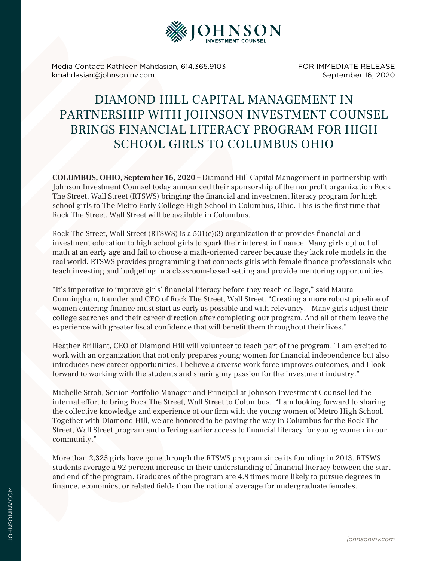

Media Contact: Kathleen Mahdasian, 614.365.9103 kmahdasian@johnsoninv.com

FOR IMMEDIATE RELEASE September 16, 2020

## DIAMOND HILL CAPITAL MANAGEMENT IN PARTNERSHIP WITH JOHNSON INVESTMENT COUNSEL BRINGS FINANCIAL LITERACY PROGRAM FOR HIGH SCHOOL GIRLS TO COLUMBUS OHIO

**COLUMBUS, OHIO, September 16, 2020 –** Diamond Hill Capital Management in partnership with Johnson Investment Counsel today announced their sponsorship of the nonprofit organization Rock The Street, Wall Street (RTSWS) bringing the financial and investment literacy program for high school girls to The Metro Early College High School in Columbus, Ohio. This is the first time that Rock The Street, Wall Street will be available in Columbus.

Rock The Street, Wall Street (RTSWS) is a 501(c)(3) organization that provides financial and investment education to high school girls to spark their interest in finance. Many girls opt out of math at an early age and fail to choose a math-oriented career because they lack role models in the real world. RTSWS provides programming that connects girls with female finance professionals who teach investing and budgeting in a classroom-based setting and provide mentoring opportunities.

"It's imperative to improve girls' financial literacy before they reach college," said Maura Cunningham, founder and CEO of Rock The Street, Wall Street. "Creating a more robust pipeline of women entering finance must start as early as possible and with relevancy. Many girls adjust their college searches and their career direction after completing our program. And all of them leave the experience with greater fiscal confidence that will benefit them throughout their lives."

Heather Brilliant, CEO of Diamond Hill will volunteer to teach part of the program. "I am excited to work with an organization that not only prepares young women for financial independence but also introduces new career opportunities. I believe a diverse work force improves outcomes, and I look forward to working with the students and sharing my passion for the investment industry."

Michelle Stroh, Senior Portfolio Manager and Principal at Johnson Investment Counsel led the internal effort to bring Rock The Street, Wall Street to Columbus. "I am looking forward to sharing the collective knowledge and experience of our firm with the young women of Metro High School. Together with Diamond Hill, we are honored to be paving the way in Columbus for the Rock The Street, Wall Street program and offering earlier access to financial literacy for young women in our community."

More than 2,325 girls have gone through the RTSWS program since its founding in 2013. RTSWS students average a 92 percent increase in their understanding of financial literacy between the start and end of the program. Graduates of the program are 4.8 times more likely to pursue degrees in finance, economics, or related fields than the national average for undergraduate females.